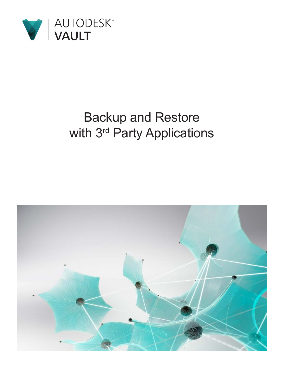

# Backup and Restore with 3<sup>rd</sup> Party Applications

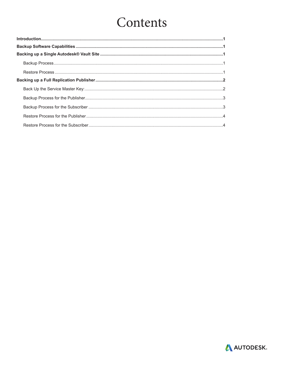# Contents

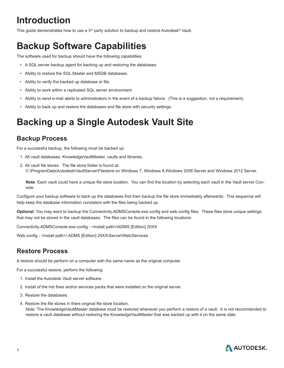## <span id="page-2-0"></span>**Introduction**

This guide demonstrates how to use a 3<sup>rd</sup> party solution to backup and restore Autodesk<sup>®</sup> Vault.

## **Backup Software Capabilities**

The software used for backup should have the following capabilities:

- A SQL server backup agent for backing up and restoring the databases.
- Ability to restore the SQL Master and MSDB databases.
- Ability to verify the backed up database or file.
- Ability to work within a replicated SQL server environment.
- Ability to send e-mail alerts to administrators in the event of a backup failure. (This is a suggestion, not a requirement).
- Ability to back up and restore the databases and file store with security settings.

## **Backing up a Single Autodesk Vault Site**

### **Backup Process**

For a successful backup, the following must be backed up:

- 1. All vault databases: KnowledgeVaultMaster, vaults and libraries.
- 2. All vault file stores. The file store folder is found at: C:\ProgramData\Autodesk\VaultServer\Filestore on Windows 7, Windows 8,Windows 2008 Server and Windows 2012 Server.

**Note**: Each vault could have a unique file store location. You can find the location by selecting each vault in the Vault server Console.

Configure your backup software to back up the databases first then backup the file store immediately afterwards. This sequence will help keep the database information consistent with the files being backed up.

**Optional**: You may want to backup the Connectivity.ADMSConsole.exe.config and web.config files. These files store unique settings that may not be stored in the vault databases. The files can be found in the following locations:

Connectivity.ADMSConsole.exe.config - <install path>\ADMS [Edition] 20XX

Web.config - <install path>\ ADMS [Edition] 20XX\Server\Web\Services

## **Restore Process**

A restore should be perform on a computer with the same name as the original computer.

For a successful restore, perform the following:

- 1. Install the Autodesk Vault server software.
- 2. Install of the hot fixes and/or services packs that were installed on the original server.
- 3. Restore the databases.
- 4. Restore the file stores in there original file store location.

Note: The KnowledgeVaultMaster database must be restored whenever you perform a restore of a vault. It is not recommended to restore a vault database without restoring the KnowledgeVaultMaster that was backed up with it on the same date.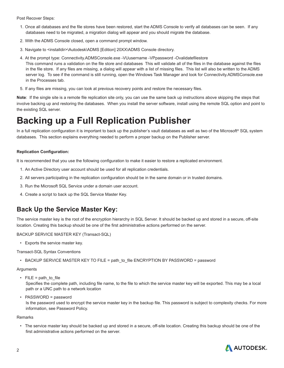<span id="page-3-0"></span>Post Recover Steps:

- 1. Once all databases and the file stores have been restored, start the ADMS Console to verify all databases can be seen. If any databases need to be migrated, a migration dialog will appear and you should migrate the database.
- 2. With the ADMS Console closed, open a command prompt window.
- 3. Navigate to <installdir>\Autodesk\ADMS [Edition] 20XX\ADMS Console directory.
- 4. At the prompt type: Connectivity.ADMSConsole.exe -VUusername -VPpassword -Ovalidatefilestore This command runs a validation on the file store and databases This will validate all of the files in the database against the files in the file store. If any files are missing, a dialog will appear with a list of missing files. This list will also be written to the ADMS server log. To see if the command is still running, open the Windows Task Manager and look for Connectivity.ADMSConsole.exe in the Processes tab.
- 5. If any files are missing, you can look at previous recovery points and restore the necessary files.

**Note**: If the single site is a remote file replication site only, you can use the same back up instructions above skipping the steps that involve backing up and restoring the databases. When you install the server software, install using the remote SQL option and point to the existing SQL server.

## **Backing up a Full Replication Publisher**

In a full replication configuration it is important to back up the publisher's vault databases as well as two of the Microsoft® SQL system databases. This section explains everything needed to perform a proper backup on the Publisher server.

#### **Replication Configuration:**

It is recommended that you use the following configuration to make it easier to restore a replicated environment.

- 1. An Active Directory user account should be used for all replication credentials.
- 2. All servers participating in the replication configuration should be in the same domain or in trusted domains.
- 3. Run the Microsoft SQL Service under a domain user account.
- 4. Create a script to back up the SQL Service Master Key.

### **Back Up the Service Master Key:**

The service master key is the root of the encryption hierarchy in SQL Server. It should be backed up and stored in a secure, off-site location. Creating this backup should be one of the first administrative actions performed on the server.

BACKUP SERVICE MASTER KEY (Transact-SQL)

• Exports the service master key.

Transact-SQL Syntax Conventions

• BACKUP SERVICE MASTER KEY TO FILE = path\_to\_file ENCRYPTION BY PASSWORD = password

#### Arguments

• FILE = path to file

Specifies the complete path, including file name, to the file to which the service master key will be exported. This may be a local path or a UNC path to a network location

• PASSWORD = password

Is the password used to encrypt the service master key in the backup file. This password is subject to complexity checks. For more information, see Password Policy.

#### Remarks

• The service master key should be backed up and stored in a secure, off-site location. Creating this backup should be one of the first administrative actions performed on the server.

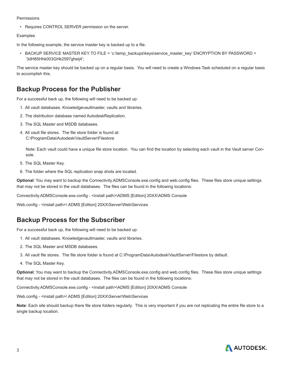#### <span id="page-4-0"></span>Permissions

• Requires CONTROL SERVER permission on the server.

#### Examples

In the following example, the service master key is backed up to a file.

• BACKUP SERVICE MASTER KEY TO FILE = 'c:\temp\_backups\keys\service\_master\_key' ENCRYPTION BY PASSWORD = '3dH85Hhk003GHk2597gheij4';

The service master key should be backed up on a regular basis. You will need to create a Windows Task scheduled on a regular basis to accomplish this.

### **Backup Process for the Publisher**

For a successful back up, the following will need to be backed up:

- 1. All vault databases. Knowledgevaultmaster, vaults and libraries.
- 2. The distribution database named AutodeskReplication.
- 3. The SQL Master and MSDB databases.
- 4. All vault file stores. The file store folder is found at: C:\ProgramData\Autodesk\VaultServer\Filestore

Note: Each vault could have a unique file store location. You can find the location by selecting each vault in the Vault server Console.

- 5. The SQL Master Key.
- 6. The folder where the SQL replication snap shots are located.

**Optional**: You may want to backup the Connectivity.ADMSConsole.exe.config and web.config files. These files store unique settings that may not be stored in the vault databases. The files can be found in the following locations:

Connectivity.ADMSConsole.exe.config - <install path>\ADMS [Edition] 20XX\ADMS Console

Web.config - <install path>\ ADMS [Edition] 20XX\Server\Web\Services

## **Backup Process for the Subscriber**

For a successful back up, the following will need to be backed up:

- 1. All vault databases. Knowledgevaultmaster, vaults and libraries.
- 2. The SQL Master and MSDB databases.
- 3. All vault file stores. The file store folder is found at C:\ProgramData\Autodesk\VaultServer\Filestore by default.
- 4. The SQL Master Key.

**Optional**: You may want to backup the Connectivity.ADMSConsole.exe.config and web.config files. These files store unique settings that may not be stored in the vault databases. The files can be found in the following locations:

Connectivity.ADMSConsole.exe.config - <install path>\ADMS [Edition] 20XX\ADMS Console

Web.config - <install path>\ ADMS [Edition] 20XX\Server\Web\Services

**Note**: Each site should backup there file store folders regularly. This is very important if you are not replicating the entire file store to a single backup location.

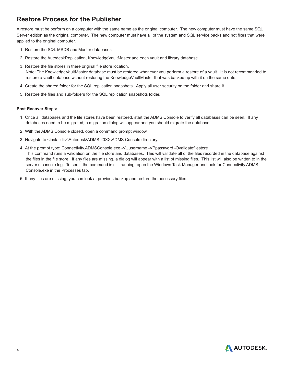## <span id="page-5-0"></span>**Restore Process for the Publisher**

A restore must be perform on a computer with the same name as the original computer. The new computer must have the same SQL Server edition as the original computer. The new computer must have all of the system and SQL service packs and hot fixes that were applied to the original computer.

- 1. Restore the SQL MSDB and Master databases.
- 2. Restore the AutodeskReplication, KnowledgeVaultMaster and each vault and library database.
- 3. Restore the file stores in there original file store location. Note: The KnowledgeVaultMaster database must be restored whenever you perform a restore of a vault. It is not recommended to restore a vault database without restoring the KnowledgeVaultMaster that was backed up with it on the same date.
- 4. Create the shared folder for the SQL replication snapshots. Apply all user security on the folder and share it.
- 5. Restore the files and sub-folders for the SQL replication snapshots folder.

#### **Post Recover Steps:**

- 1. Once all databases and the file stores have been restored, start the ADMS Console to verify all databases can be seen. If any databases need to be migrated, a migration dialog will appear and you should migrate the database.
- 2. With the ADMS Console closed, open a command prompt window.
- 3. Navigate to <installdir>\Autodesk\ADMS 20XX\ADMS Console directory.
- 4. At the prompt type: Connectivity.ADMSConsole.exe -VUusername -VPpassword -Ovalidatefilestore This command runs a validation on the file store and databases. This will validate all of the files recorded in the database against the files in the file store. If any files are missing, a dialog will appear with a list of missing files. This list will also be written to in the server's console log. To see if the command is still running, open the Windows Task Manager and look for Connectivity.ADMS-Console.exe in the Processes tab.
- 5. If any files are missing, you can look at previous backup and restore the necessary files.